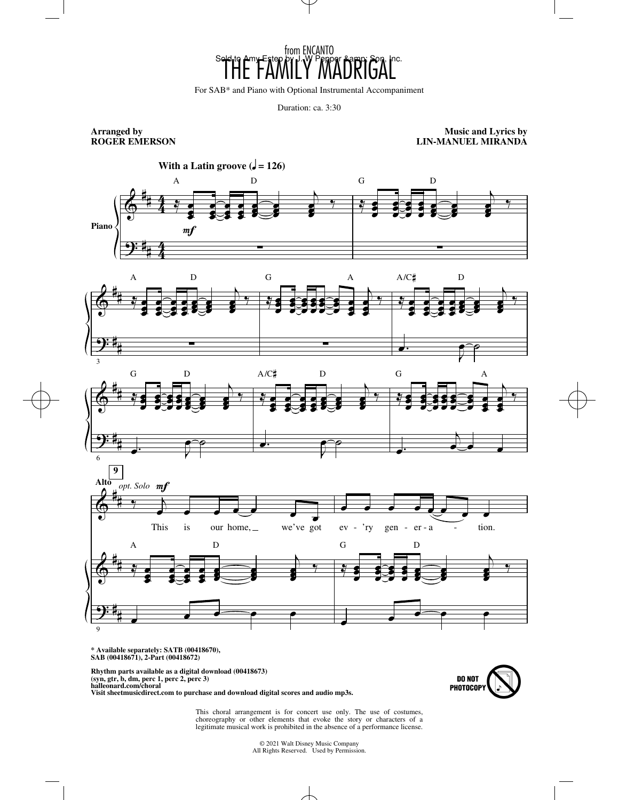

For SAB\* and Piano with Optional Instrumental Accompaniment

Duration: ca. 3:30

**Arranged by ROGER EMERSON**

**Music and Lyrics by LIN-MANUEL MIRANDA**



**\* Available separately: SATB (00418670), SAB (00418671), 2-Part (00418672)**

**Rhythm parts available as a digital download (00418673) (syn, gtr, b, dm, perc 1, perc 2, perc 3) halleonard.com/choral Visit sheetmusicdirect.com to purchase and download digital scores and audio mp3s.**



This choral arrangement is for concert use only. The use of costumes, choreography or other elements that evoke the story or characters of a legitimate musical work is prohibited in the absence of a performance license.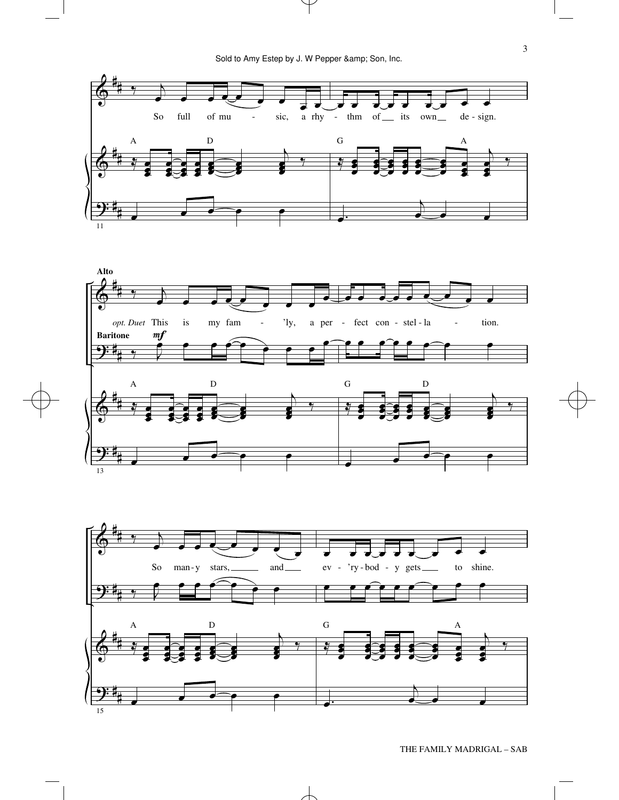



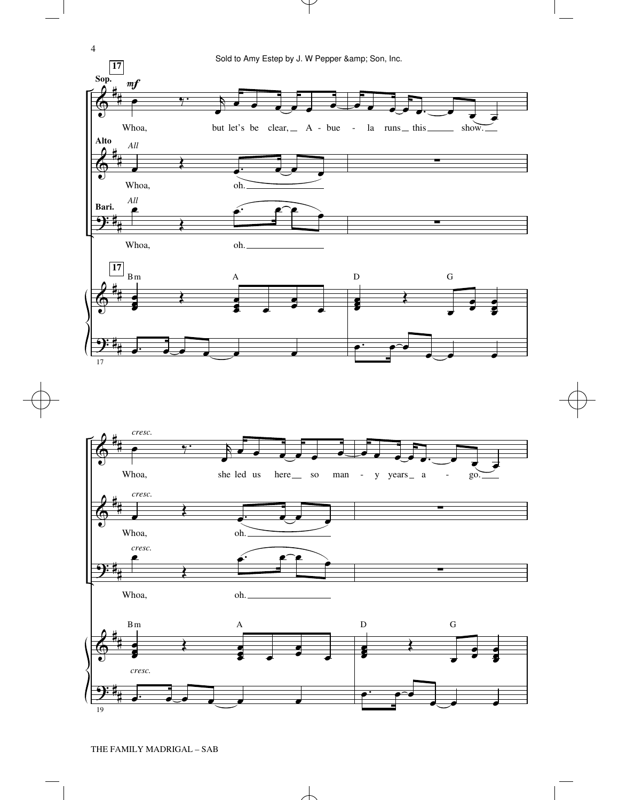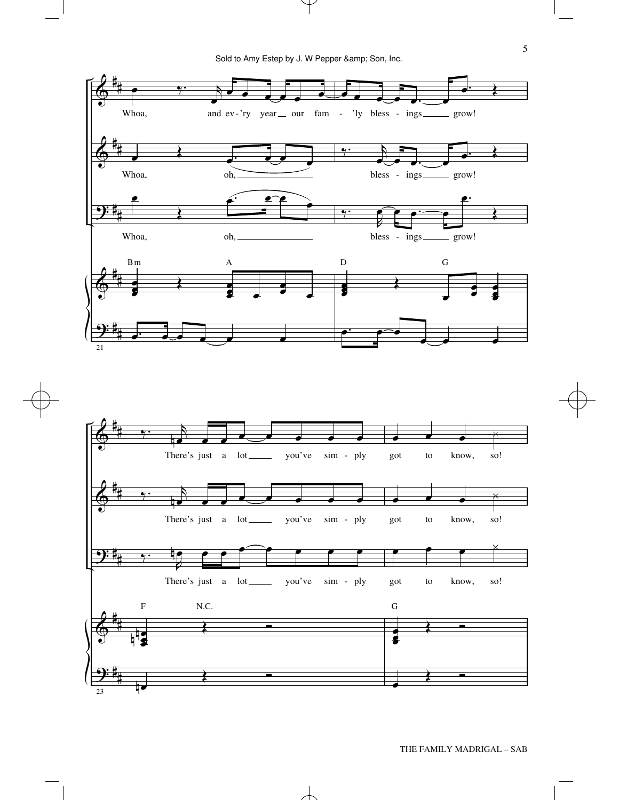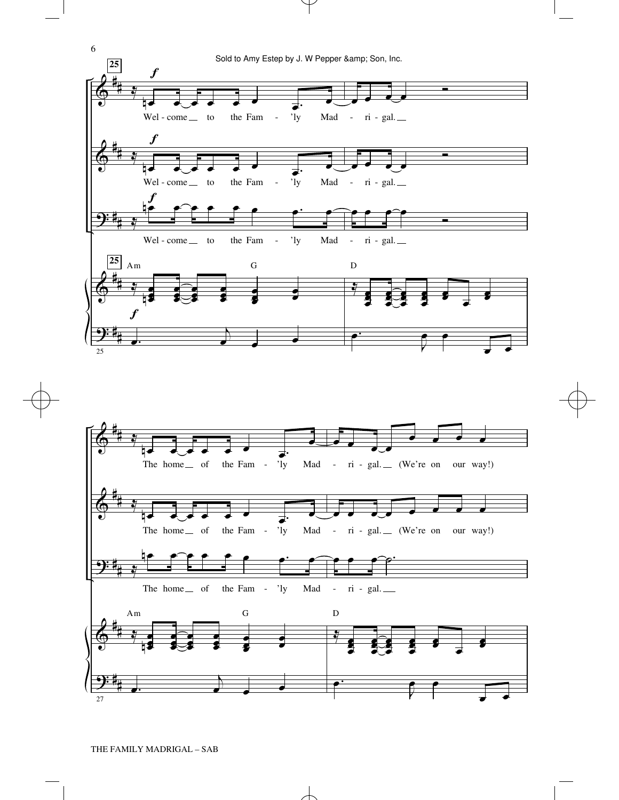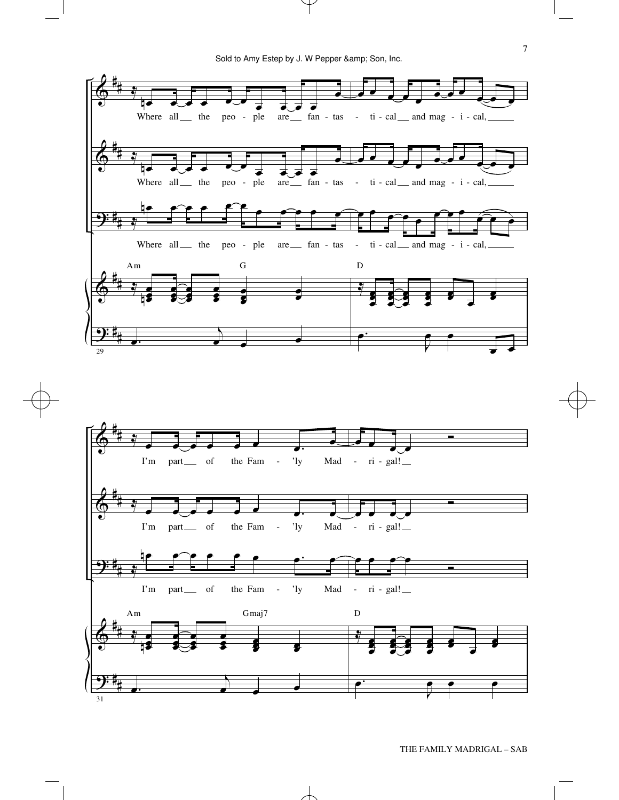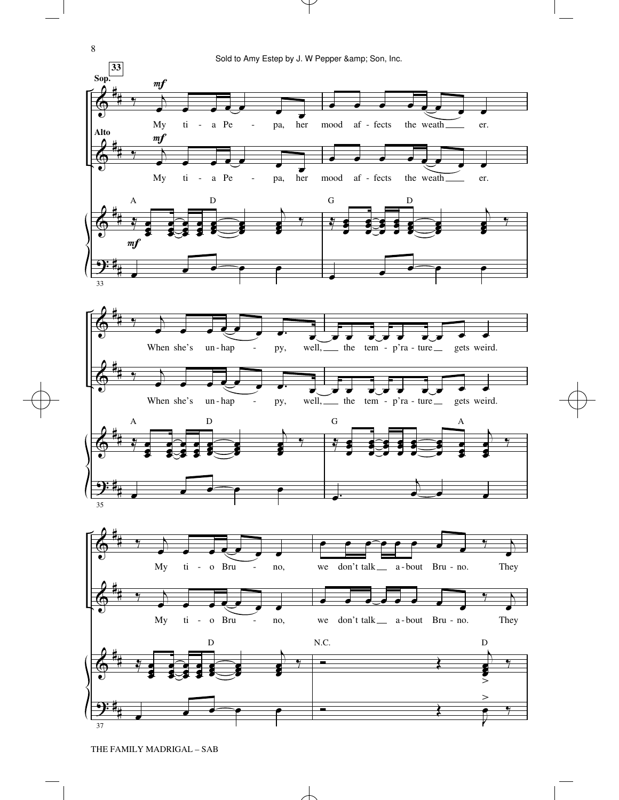

THE FAMILY MADRIGAL – SAB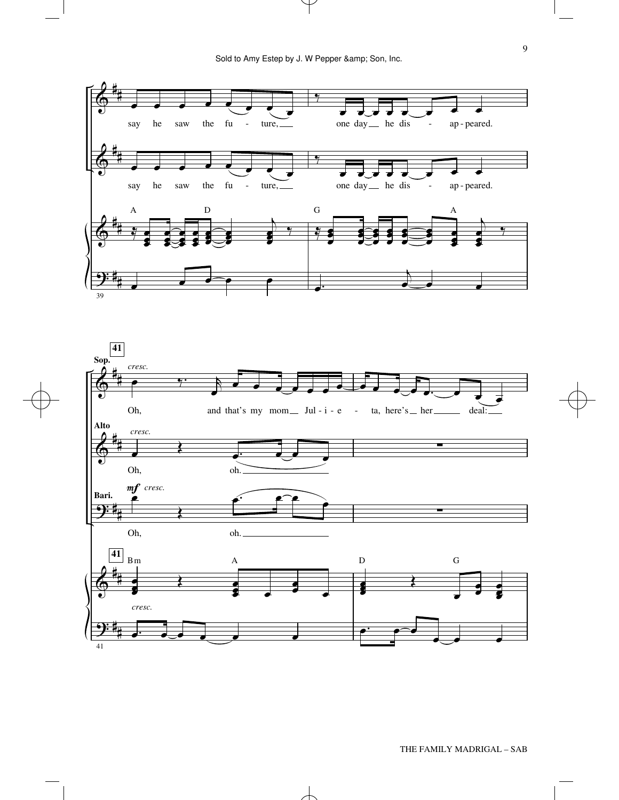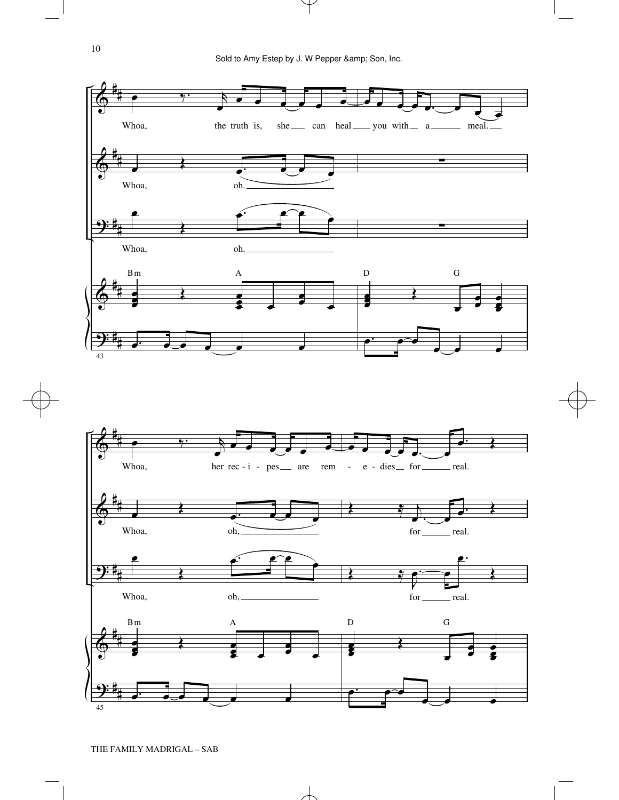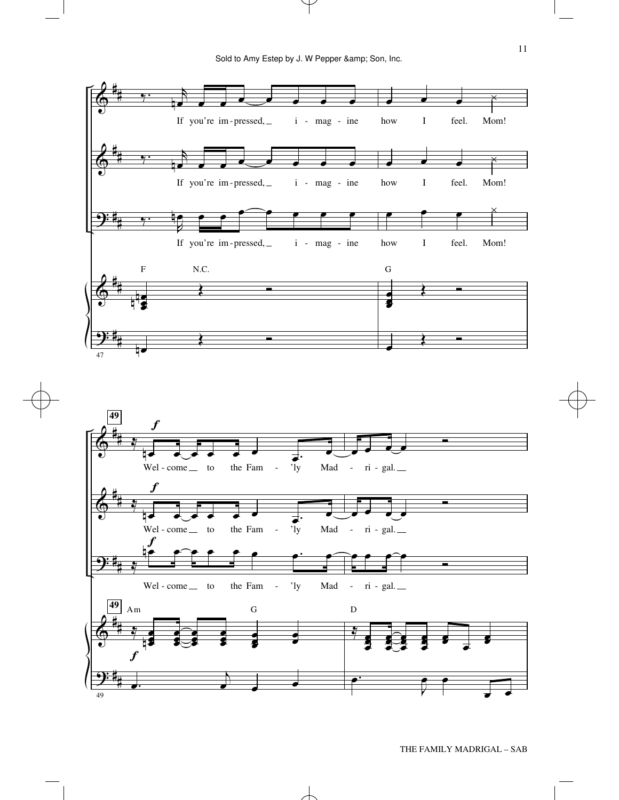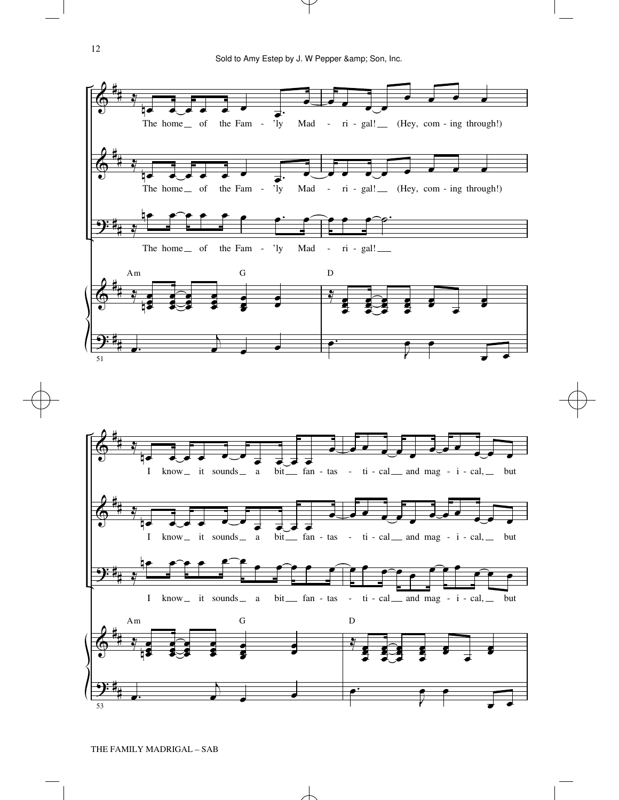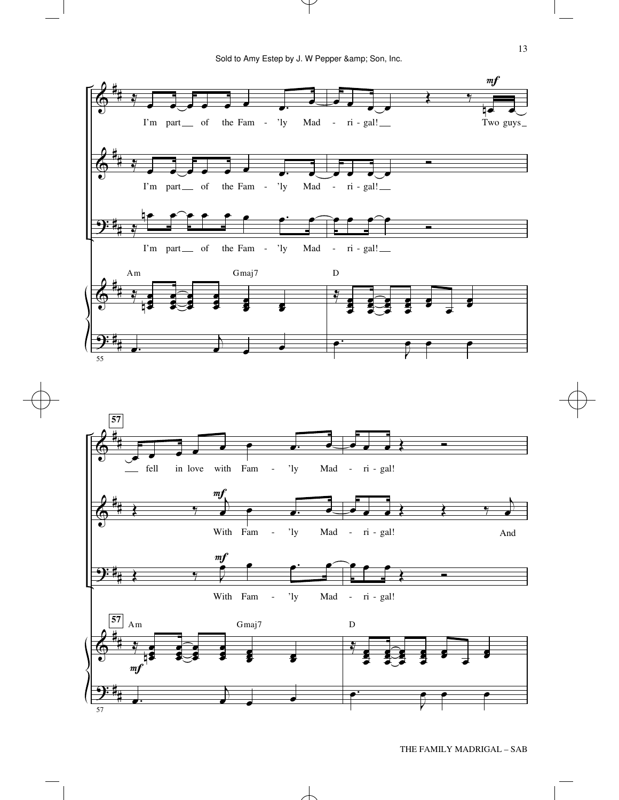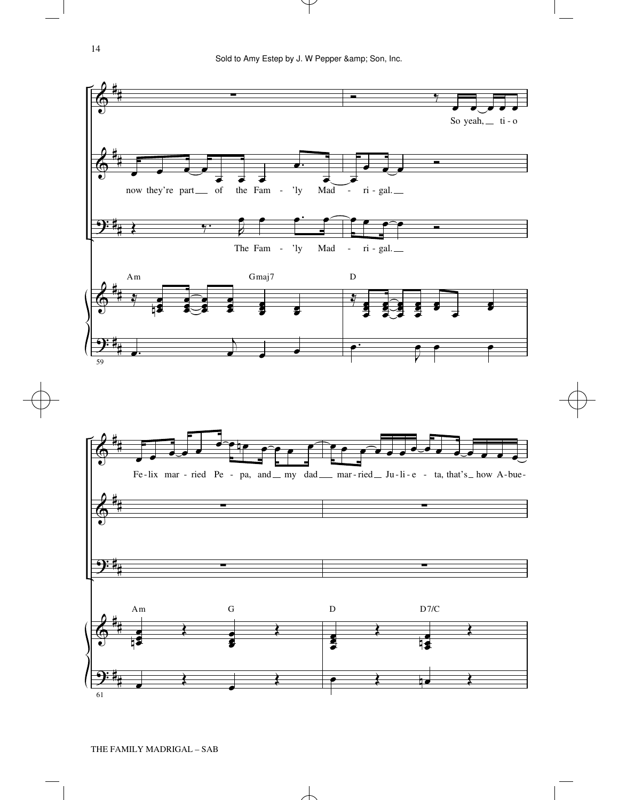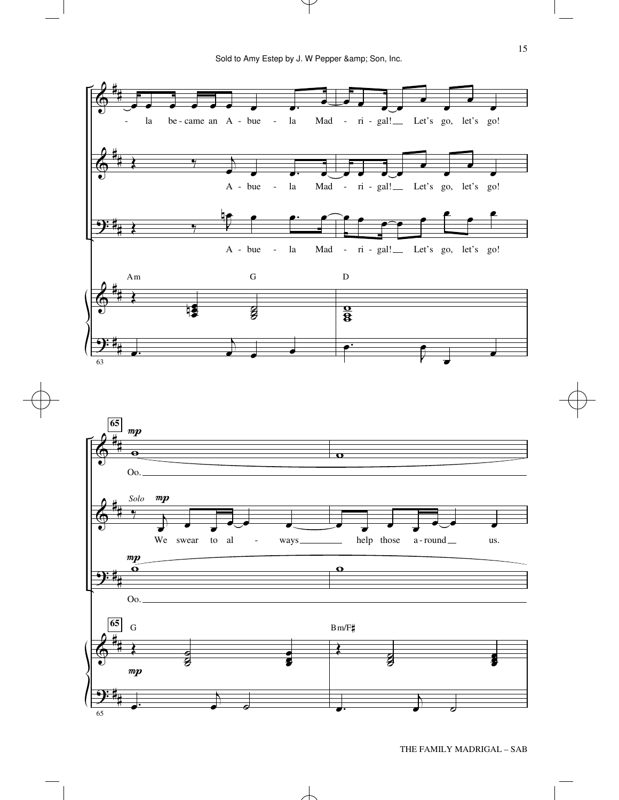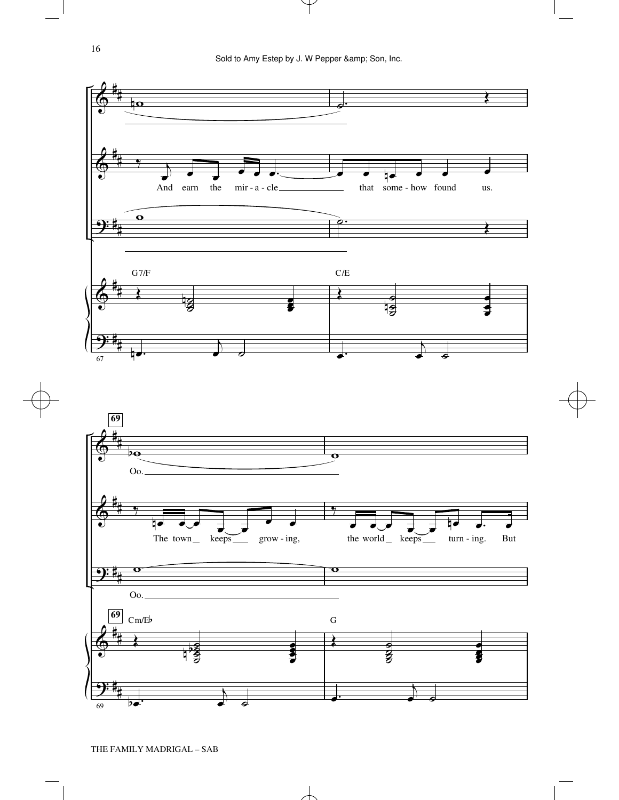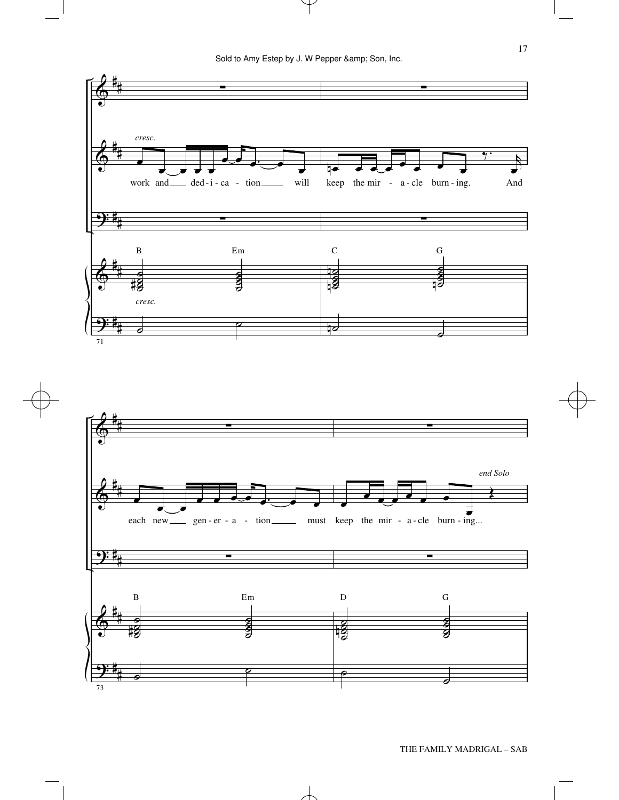

17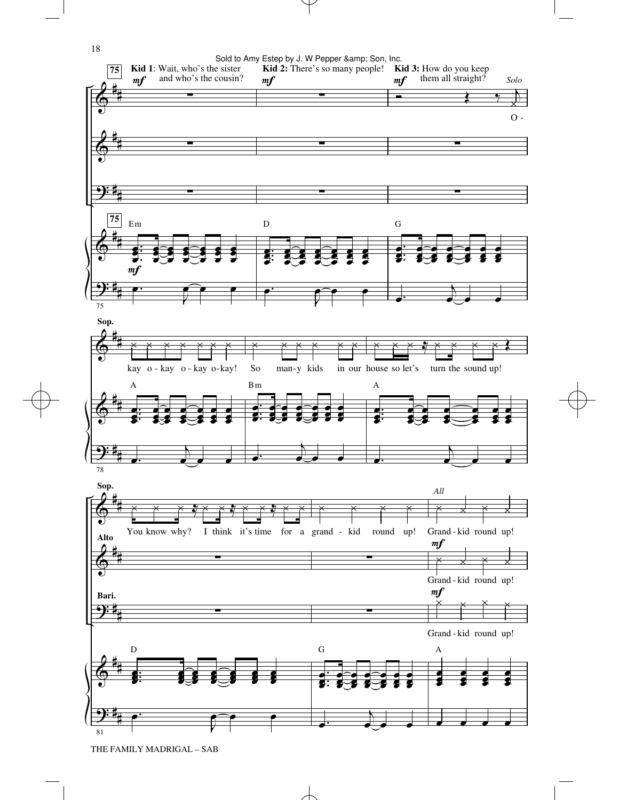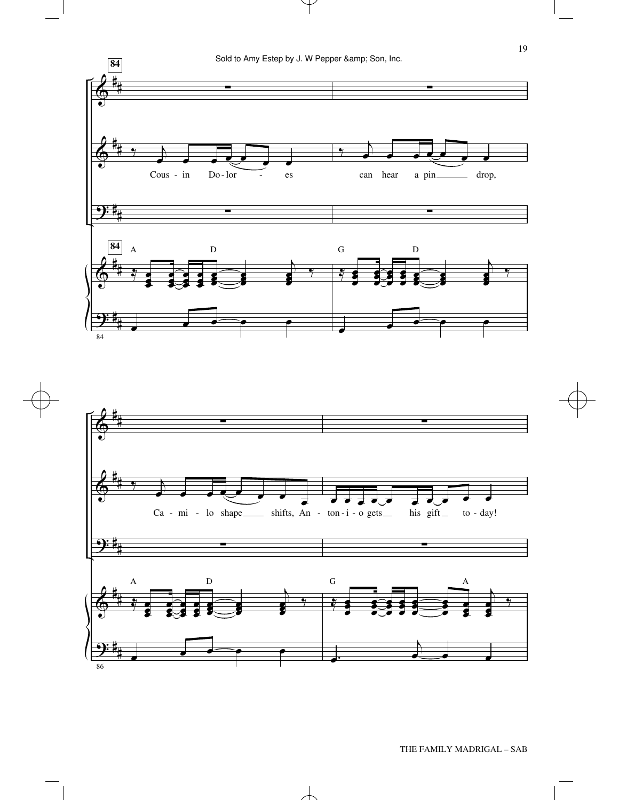



19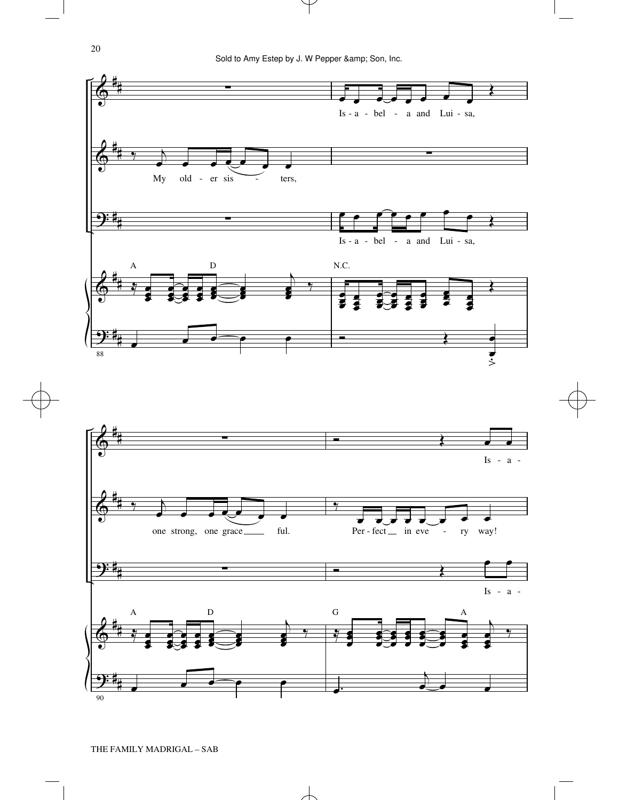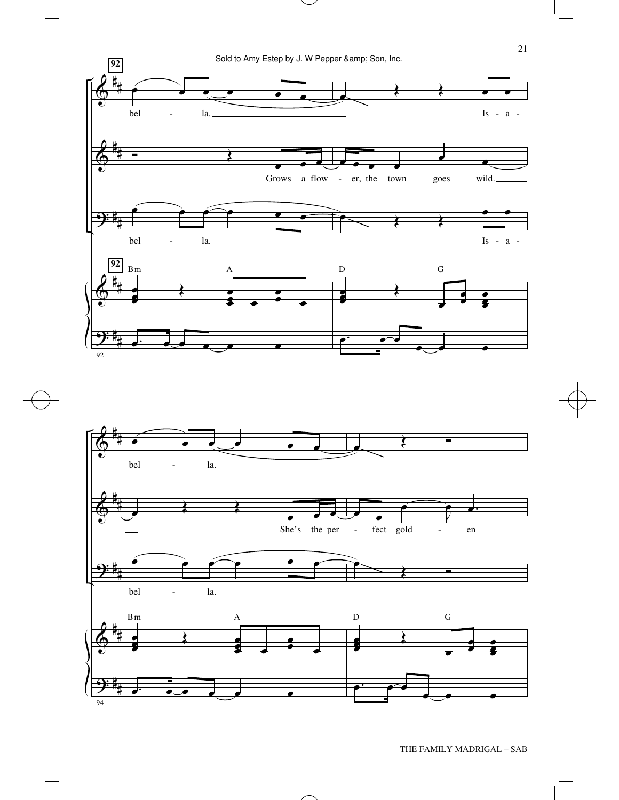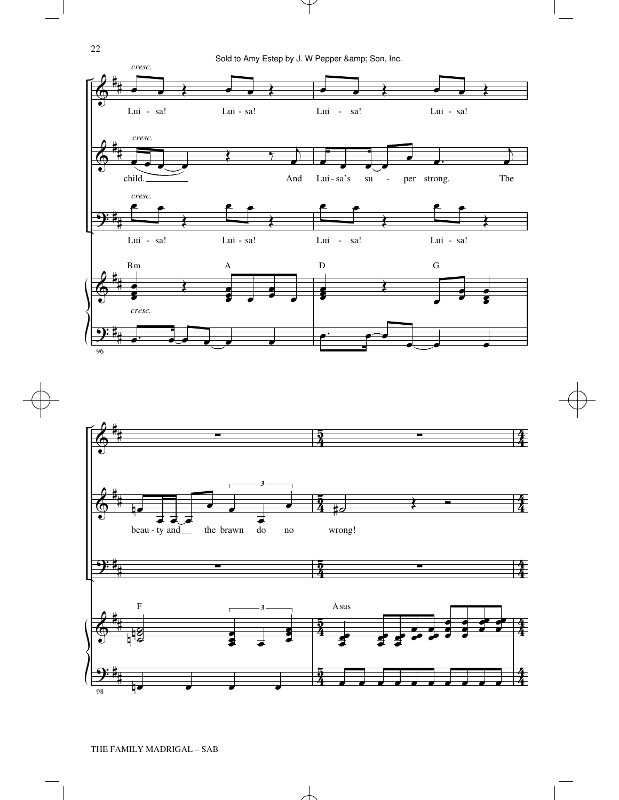





22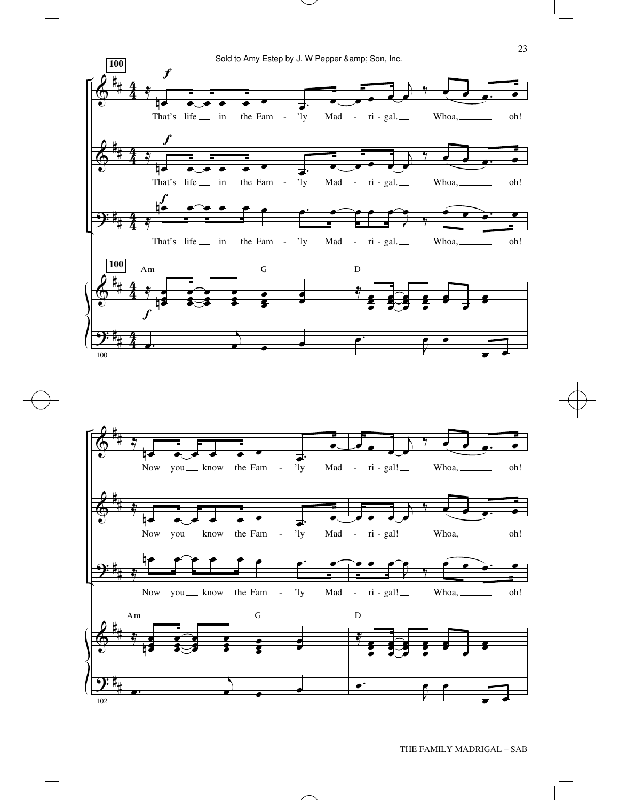